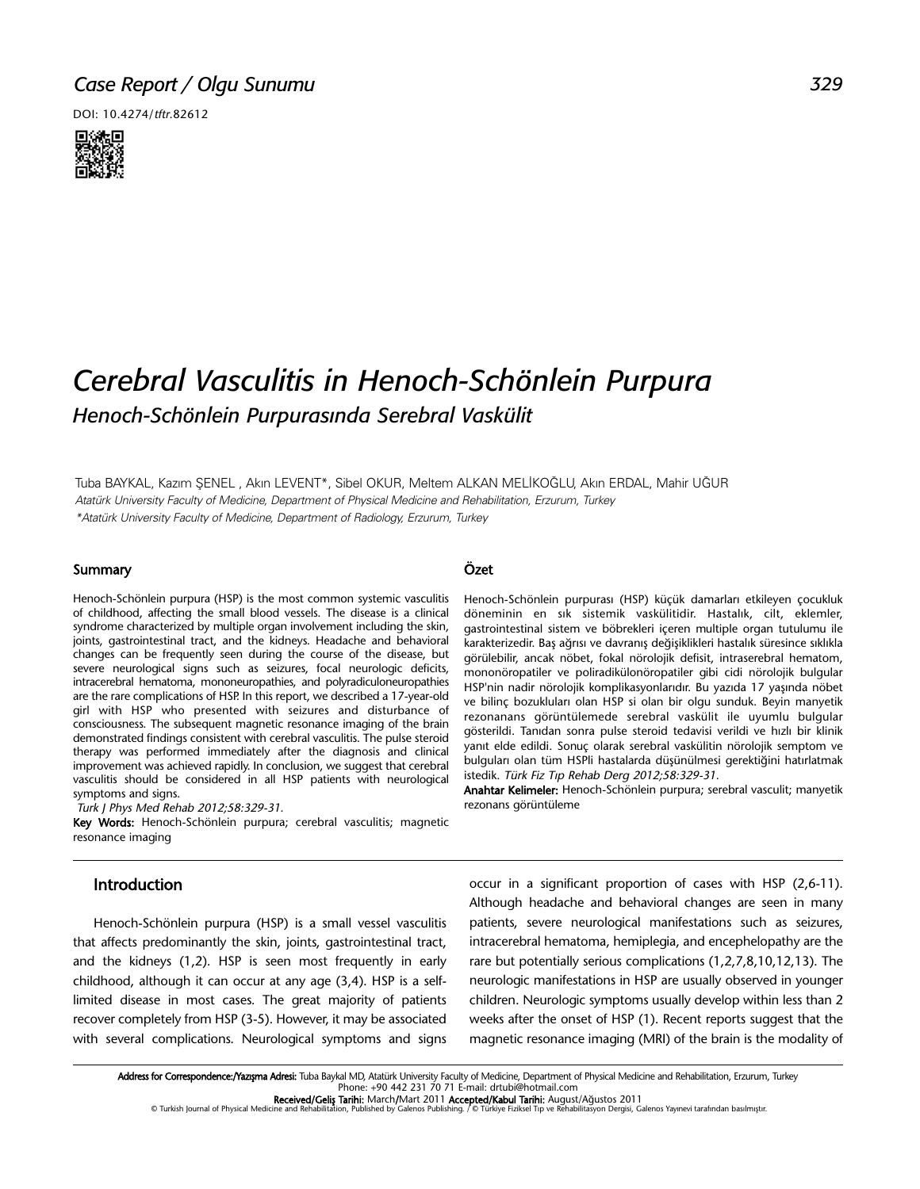# *Case Report / Olgu Sunumu*

DOI: 10.4274/tftr.82612



# *Cerebral Vasculitis in Henoch-Schönlein Purpura Henoch-Schönlein Purpurasında Serebral Vaskülit*

Tuba BAYKAL, Kazım ŞENEL , Akın LEVENT\*, Sibel OKUR, Meltem ALKAN MELİKOĞLU, Akın ERDAL, Mahir UĞUR Atatürk University Faculty of Medicine, Department of Physical Medicine and Rehabilitation, Erzurum, Turkey \*Atatürk University Faculty of Medicine, Department of Radiology, Erzurum, Turkey

#### Summary

Henoch-Schönlein purpura (HSP) is the most common systemic vasculitis of childhood, affecting the small blood vessels. The disease is a clinical syndrome characterized by multiple organ involvement including the skin, joints, gastrointestinal tract, and the kidneys. Headache and behavioral changes can be frequently seen during the course of the disease, but severe neurological signs such as seizures, focal neurologic deficits, intracerebral hematoma, mononeuropathies, and polyradiculoneuropathies are the rare complications of HSP. In this report, we described a 17-year-old girl with HSP who presented with seizures and disturbance of consciousness. The subsequent magnetic resonance imaging of the brain demonstrated findings consistent with cerebral vasculitis. The pulse steroid therapy was performed immediately after the diagnosis and clinical improvement was achieved rapidly. In conclusion, we suggest that cerebral vasculitis should be considered in all HSP patients with neurological symptoms and signs.

Turk J Phys Med Rehab 2012;58:329-31.

Key Words: Henoch-Schönlein purpura; cerebral vasculitis; magnetic resonance imaging

### Introduction

Henoch-Schönlein purpura (HSP) is a small vessel vasculitis that affects predominantly the skin, joints, gastrointestinal tract, and the kidneys (1,2). HSP is seen most frequently in early childhood, although it can occur at any age (3,4). HSP is a selflimited disease in most cases. The great majority of patients recover completely from HSP (3-5). However, it may be associated with several complications. Neurological symptoms and signs

#### Özet

Henoch-Schönlein purpurası (HSP) küçük damarları etkileyen çocukluk döneminin en sık sistemik vaskülitidir. Hastalık, cilt, eklemler, gastrointestinal sistem ve böbrekleri içeren multiple organ tutulumu ile karakterizedir. Baş ağrısı ve davranış değişiklikleri hastalık süresince sıklıkla görülebilir, ancak nöbet, fokal nörolojik defisit, intraserebral hematom, mononöropatiler ve poliradikülonöropatiler gibi cidi nörolojik bulgular HSP'nin nadir nörolojik komplikasyonlarıdır. Bu yazıda 17 yaşında nöbet ve bilinç bozukluları olan HSP si olan bir olgu sunduk. Beyin manyetik rezonanans görüntülemede serebral vaskülit ile uyumlu bulgular gösterildi. Tanıdan sonra pulse steroid tedavisi verildi ve hızlı bir klinik yanıt elde edildi. Sonuç olarak serebral vaskülitin nörolojik semptom ve bulguları olan tüm HSPli hastalarda düşünülmesi gerektiğini hatırlatmak istedik. Türk Fiz Tıp Rehab Derg 2012;58:329-31.

Anahtar Kelimeler: Henoch-Schönlein purpura; serebral vasculit; manyetik rezonans görüntüleme

occur in a significant proportion of cases with HSP (2,6-11). Although headache and behavioral changes are seen in many patients, severe neurological manifestations such as seizures, intracerebral hematoma, hemiplegia, and encephelopathy are the rare but potentially serious complications (1,2,7,8,10,12,13). The neurologic manifestations in HSP are usually observed in younger children. Neurologic symptoms usually develop within less than 2 weeks after the onset of HSP (1). Recent reports suggest that the magnetic resonance imaging (MRI) of the brain is the modality of

**Received/Geliş Tarihi:** March/Mart 2011 Accepted/Kabul Tarihi: August/Ağustos 2011<br>Turkish Journal of Physical Medicine and Rehabilitation, Published by Galenos Publishing. / © Türkiye Fiziksel Tıp ve Rehabilitasyon Dergi

Address for Correspondence:/Yazışma Adresi: Tuba Baykal MD, Atatürk University Faculty of Medicine, Department of Physical Medicine and Rehabilitation, Erzurum, Turkey Phone: +90 442 231 70 71 E-mail: drtubi@hotmail.com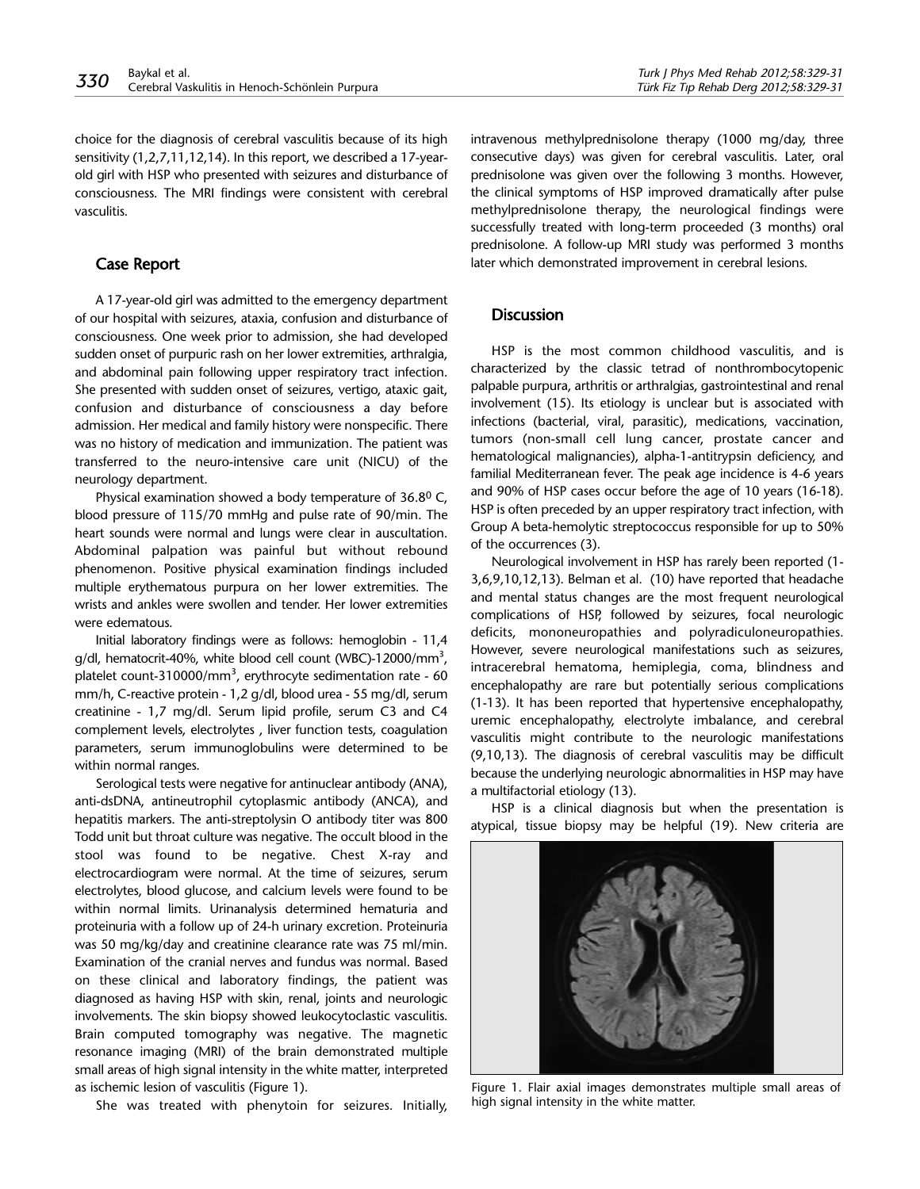choice for the diagnosis of cerebral vasculitis because of its high sensitivity (1,2,7,11,12,14). In this report, we described a 17-yearold girl with HSP who presented with seizures and disturbance of consciousness. The MRI findings were consistent with cerebral vasculitis.

# Case Report

A 17-year-old girl was admitted to the emergency department of our hospital with seizures, ataxia, confusion and disturbance of consciousness. One week prior to admission, she had developed sudden onset of purpuric rash on her lower extremities, arthralgia, and abdominal pain following upper respiratory tract infection. She presented with sudden onset of seizures, vertigo, ataxic gait, confusion and disturbance of consciousness a day before admission. Her medical and family history were nonspecific. There was no history of medication and immunization. The patient was transferred to the neuro-intensive care unit (NICU) of the neurology department.

Physical examination showed a body temperature of 36.80 C, blood pressure of 115/70 mmHg and pulse rate of 90/min. The heart sounds were normal and lungs were clear in auscultation. Abdominal palpation was painful but without rebound phenomenon. Positive physical examination findings included multiple erythematous purpura on her lower extremities. The wrists and ankles were swollen and tender. Her lower extremities were edematous.

Initial laboratory findings were as follows: hemoglobin - 11,4  $q/dl$ , hematocrit-40%, white blood cell count (WBC)-12000/mm<sup>3</sup>, platelet count-310000/mm<sup>3</sup>, erythrocyte sedimentation rate - 60 mm/h, C-reactive protein - 1,2 g/dl, blood urea - 55 mg/dl, serum creatinine - 1,7 mg/dl. Serum lipid profile, serum C3 and C4 complement levels, electrolytes , liver function tests, coagulation parameters, serum immunoglobulins were determined to be within normal ranges.

Serological tests were negative for antinuclear antibody (ANA), anti-dsDNA, antineutrophil cytoplasmic antibody (ANCA), and hepatitis markers. The anti-streptolysin O antibody titer was 800 Todd unit but throat culture was negative. The occult blood in the stool was found to be negative. Chest X-ray and electrocardiogram were normal. At the time of seizures, serum electrolytes, blood glucose, and calcium levels were found to be within normal limits. Urinanalysis determined hematuria and proteinuria with a follow up of 24-h urinary excretion. Proteinuria was 50 mg/kg/day and creatinine clearance rate was 75 ml/min. Examination of the cranial nerves and fundus was normal. Based on these clinical and laboratory findings, the patient was diagnosed as having HSP with skin, renal, joints and neurologic involvements. The skin biopsy showed leukocytoclastic vasculitis. Brain computed tomography was negative. The magnetic resonance imaging (MRI) of the brain demonstrated multiple small areas of high signal intensity in the white matter, interpreted as ischemic lesion of vasculitis (Figure 1).

She was treated with phenytoin for seizures. Initially,

intravenous methylprednisolone therapy (1000 mg/day, three consecutive days) was given for cerebral vasculitis. Later, oral prednisolone was given over the following 3 months. However, the clinical symptoms of HSP improved dramatically after pulse methylprednisolone therapy, the neurological findings were successfully treated with long-term proceeded (3 months) oral prednisolone. A follow-up MRI study was performed 3 months later which demonstrated improvement in cerebral lesions.

#### **Discussion**

HSP is the most common childhood vasculitis, and is characterized by the classic tetrad of nonthrombocytopenic palpable purpura, arthritis or arthralgias, gastrointestinal and renal involvement (15). Its etiology is unclear but is associated with infections (bacterial, viral, parasitic), medications, vaccination, tumors (non-small cell lung cancer, prostate cancer and hematological malignancies), alpha-1-antitrypsin deficiency, and familial Mediterranean fever. The peak age incidence is 4-6 years and 90% of HSP cases occur before the age of 10 years (16-18). HSP is often preceded by an upper respiratory tract infection, with Group A beta-hemolytic streptococcus responsible for up to 50% of the occurrences (3).

Neurological involvement in HSP has rarely been reported (1- 3,6,9,10,12,13). Belman et al. (10) have reported that headache and mental status changes are the most frequent neurological complications of HSP, followed by seizures, focal neurologic deficits, mononeuropathies and polyradiculoneuropathies. However, severe neurological manifestations such as seizures, intracerebral hematoma, hemiplegia, coma, blindness and encephalopathy are rare but potentially serious complications (1-13). It has been reported that hypertensive encephalopathy, uremic encephalopathy, electrolyte imbalance, and cerebral vasculitis might contribute to the neurologic manifestations (9,10,13). The diagnosis of cerebral vasculitis may be difficult because the underlying neurologic abnormalities in HSP may have a multifactorial etiology (13).

HSP is a clinical diagnosis but when the presentation is atypical, tissue biopsy may be helpful (19). New criteria are



Figure 1. Flair axial images demonstrates multiple small areas of high signal intensity in the white matter.